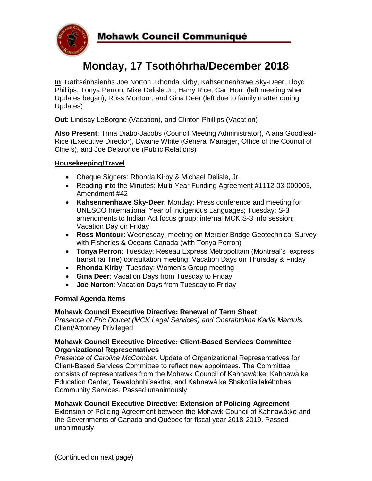

# **Monday, 17 Tsothóhrha/December 2018**

**In**: Ratitsénhaienhs Joe Norton, Rhonda Kirby, Kahsennenhawe Sky-Deer, Lloyd Phillips, Tonya Perron, Mike Delisle Jr., Harry Rice, Carl Horn (left meeting when Updates began), Ross Montour, and Gina Deer (left due to family matter during Updates)

**Out**: Lindsay LeBorgne (Vacation), and Clinton Phillips (Vacation)

**Also Present**: Trina Diabo-Jacobs (Council Meeting Administrator), Alana Goodleaf-Rice (Executive Director), Dwaine White (General Manager, Office of the Council of Chiefs), and Joe Delaronde (Public Relations)

# **Housekeeping/Travel**

- Cheque Signers: Rhonda Kirby & Michael Delisle, Jr.
- Reading into the Minutes: Multi-Year Funding Agreement #1112-03-000003, Amendment #42
- **Kahsennenhawe Sky-Deer**: Monday: Press conference and meeting for UNESCO International Year of Indigenous Languages; Tuesday: S-3 amendments to Indian Act focus group; internal MCK S-3 info session; Vacation Day on Friday
- **Ross Montour**: Wednesday: meeting on Mercier Bridge Geotechnical Survey with Fisheries & Oceans Canada (with Tonya Perron)
- **Tonya Perron**: Tuesday: Réseau Express Métropolitain (Montreal's express transit rail line) consultation meeting; Vacation Days on Thursday & Friday
- **Rhonda Kirby**: Tuesday: Women's Group meeting
- **Gina Deer**: Vacation Days from Tuesday to Friday
- **Joe Norton**: Vacation Days from Tuesday to Friday

## **Formal Agenda Items**

## **Mohawk Council Executive Directive: Renewal of Term Sheet**

*Presence of Eric Doucet (MCK Legal Services) and Onerahtokha Karlie Marquis.*  Client/Attorney Privileged

#### **Mohawk Council Executive Directive: Client-Based Services Committee Organizational Representatives**

*Presence of Caroline McComber.* Update of Organizational Representatives for Client-Based Services Committee to reflect new appointees. The Committee consists of representatives from the Mohawk Council of Kahnawà:ke, Kahnawà:ke Education Center, Tewatohnhi'saktha, and Kahnawà:ke Shakotiia'takéhnhas Community Services. Passed unanimously

## **Mohawk Council Executive Directive: Extension of Policing Agreement**

Extension of Policing Agreement between the Mohawk Council of Kahnawà:ke and the Governments of Canada and Québec for fiscal year 2018-2019. Passed unanimously